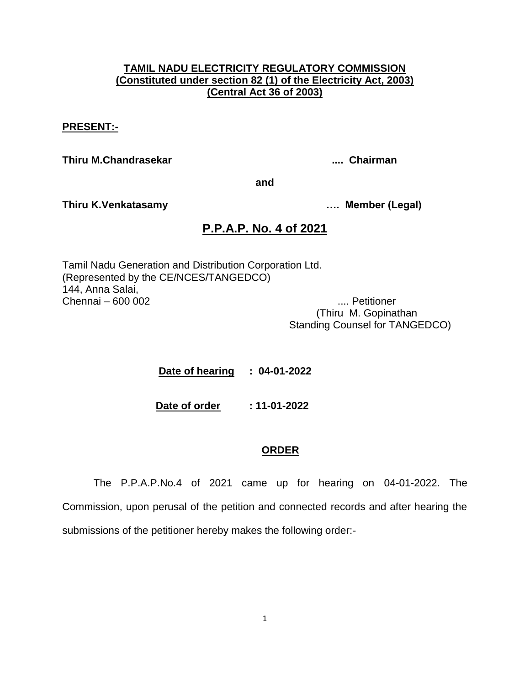## **TAMIL NADU ELECTRICITY REGULATORY COMMISSION (Constituted under section 82 (1) of the Electricity Act, 2003) (Central Act 36 of 2003)**

### **PRESENT:-**

**Thiru M.Chandrasekar .... Chairman**

**and**

**Thiru K.Venkatasamy …. Member (Legal)**

# **P.P.A.P. No. 4 of 2021**

Tamil Nadu Generation and Distribution Corporation Ltd. (Represented by the CE/NCES/TANGEDCO) 144, Anna Salai, Chennai – 600 002 .... Petitioner

 (Thiru M. Gopinathan Standing Counsel for TANGEDCO)

 **Date of hearing : 04-01-2022**

**Date of order : 11-01-2022**

## **ORDER**

The P.P.A.P.No.4 of 2021 came up for hearing on 04-01-2022. The Commission, upon perusal of the petition and connected records and after hearing the submissions of the petitioner hereby makes the following order:-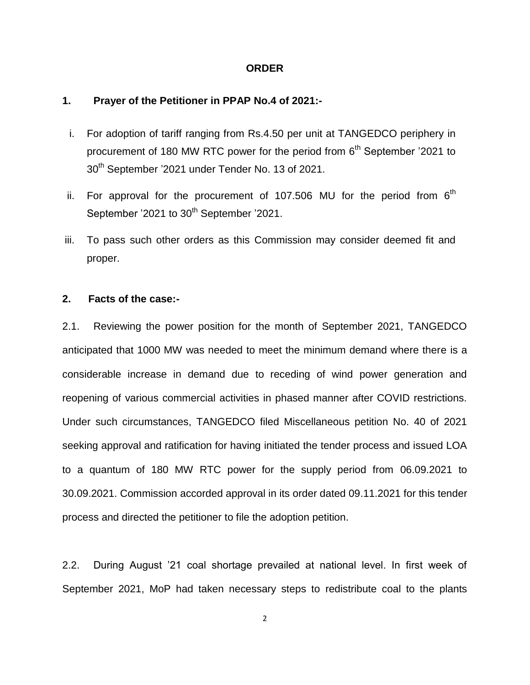#### **ORDER**

## **1. Prayer of the Petitioner in PPAP No.4 of 2021:-**

- i. For adoption of tariff ranging from Rs.4.50 per unit at TANGEDCO periphery in procurement of 180 MW RTC power for the period from  $6<sup>th</sup>$  September '2021 to 30<sup>th</sup> September '2021 under Tender No. 13 of 2021.
- ii. For approval for the procurement of 107.506 MU for the period from  $6<sup>th</sup>$ September '2021 to 30<sup>th</sup> September '2021.
- iii. To pass such other orders as this Commission may consider deemed fit and proper.

## **2. Facts of the case:-**

2.1. Reviewing the power position for the month of September 2021, TANGEDCO anticipated that 1000 MW was needed to meet the minimum demand where there is a considerable increase in demand due to receding of wind power generation and reopening of various commercial activities in phased manner after COVID restrictions. Under such circumstances, TANGEDCO filed Miscellaneous petition No. 40 of 2021 seeking approval and ratification for having initiated the tender process and issued LOA to a quantum of 180 MW RTC power for the supply period from 06.09.2021 to 30.09.2021. Commission accorded approval in its order dated 09.11.2021 for this tender process and directed the petitioner to file the adoption petition.

2.2. During August '21 coal shortage prevailed at national level. In first week of September 2021, MoP had taken necessary steps to redistribute coal to the plants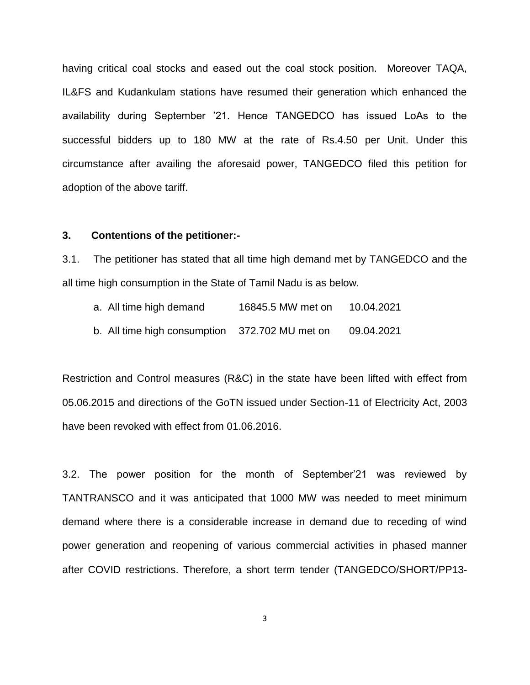having critical coal stocks and eased out the coal stock position. Moreover TAQA, IL&FS and Kudankulam stations have resumed their generation which enhanced the availability during September '21. Hence TANGEDCO has issued LoAs to the successful bidders up to 180 MW at the rate of Rs.4.50 per Unit. Under this circumstance after availing the aforesaid power, TANGEDCO filed this petition for adoption of the above tariff.

### **3. Contentions of the petitioner:-**

3.1. The petitioner has stated that all time high demand met by TANGEDCO and the all time high consumption in the State of Tamil Nadu is as below.

| a. All time high demand | 16845.5 MW met on | 10.04.2021 |  |
|-------------------------|-------------------|------------|--|
|                         |                   |            |  |

b. All time high consumption 372.702 MU met on 09.04.2021

Restriction and Control measures (R&C) in the state have been lifted with effect from 05.06.2015 and directions of the GoTN issued under Section-11 of Electricity Act, 2003 have been revoked with effect from 01.06.2016.

3.2. The power position for the month of September'21 was reviewed by TANTRANSCO and it was anticipated that 1000 MW was needed to meet minimum demand where there is a considerable increase in demand due to receding of wind power generation and reopening of various commercial activities in phased manner after COVID restrictions. Therefore, a short term tender (TANGEDCO/SHORT/PP13-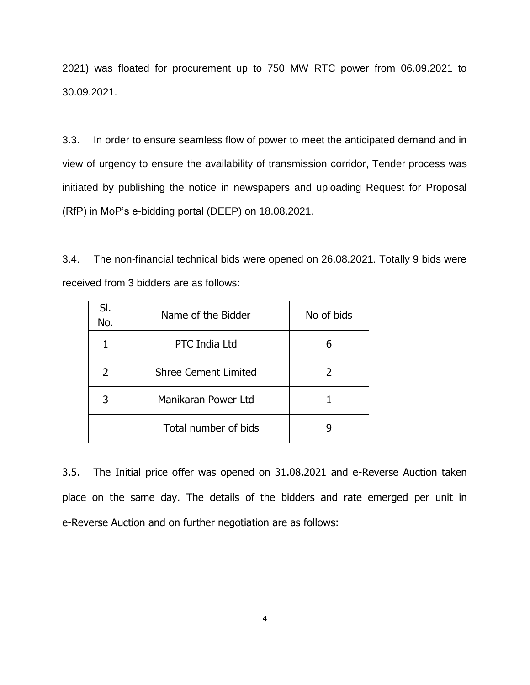2021) was floated for procurement up to 750 MW RTC power from 06.09.2021 to 30.09.2021.

3.3. In order to ensure seamless flow of power to meet the anticipated demand and in view of urgency to ensure the availability of transmission corridor, Tender process was initiated by publishing the notice in newspapers and uploading Request for Proposal (RfP) in MoP's e-bidding portal (DEEP) on 18.08.2021.

3.4. The non-financial technical bids were opened on 26.08.2021. Totally 9 bids were received from 3 bidders are as follows:

| SI.<br>No. | Name of the Bidder          | No of bids    |
|------------|-----------------------------|---------------|
|            | <b>PTC India Ltd</b>        | 6             |
| 2          | <b>Shree Cement Limited</b> | $\mathcal{P}$ |
| 3          | Manikaran Power Ltd         |               |
|            | Total number of bids        |               |

3.5. The Initial price offer was opened on 31.08.2021 and e-Reverse Auction taken place on the same day. The details of the bidders and rate emerged per unit in e-Reverse Auction and on further negotiation are as follows: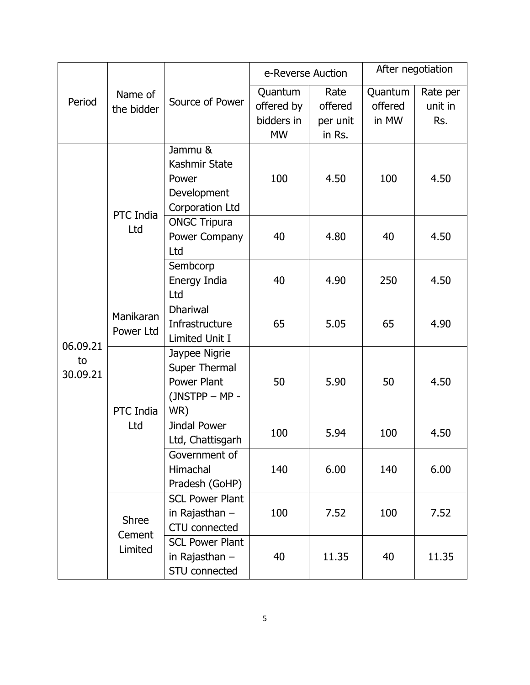|                | Name of<br>the bidder             | Source of Power        | e-Reverse Auction |          | After negotiation |          |
|----------------|-----------------------------------|------------------------|-------------------|----------|-------------------|----------|
|                |                                   |                        | Quantum           | Rate     | Quantum           | Rate per |
| Period         |                                   |                        | offered by        | offered  | offered           | unit in  |
|                |                                   |                        | bidders in        | per unit | in MW             | Rs.      |
|                |                                   |                        | <b>MW</b>         | in Rs.   |                   |          |
|                |                                   | Jammu &                |                   |          |                   |          |
|                |                                   | Kashmir State          |                   |          |                   |          |
|                |                                   | Power                  | 100               | 4.50     | 100               | 4.50     |
|                |                                   | Development            |                   |          |                   |          |
|                |                                   | Corporation Ltd        |                   |          |                   |          |
|                | PTC India                         | <b>ONGC Tripura</b>    |                   |          |                   |          |
|                | Ltd                               | Power Company          | 40                | 4.80     | 40                | 4.50     |
|                |                                   | Ltd                    |                   |          |                   |          |
|                |                                   | Sembcorp               |                   |          |                   |          |
|                |                                   | Energy India           | 40                | 4.90     | 250               | 4.50     |
|                |                                   | Ltd                    |                   |          |                   |          |
|                | Manikaran                         | <b>Dhariwal</b>        |                   |          |                   |          |
|                |                                   | Infrastructure         | 65                | 5.05     | 65                | 4.90     |
|                | Power Ltd                         | Limited Unit I         |                   |          |                   |          |
| 06.09.21       |                                   | Jaypee Nigrie          |                   |          |                   |          |
| to<br>30.09.21 |                                   | Super Thermal          |                   |          |                   |          |
|                |                                   | Power Plant            | 50                | 5.90     | 50                | 4.50     |
|                |                                   | (JNSTPP - MP -         |                   |          |                   |          |
|                | PTC India                         | WR)                    |                   |          |                   |          |
|                | Ltd                               | Jindal Power           | 100               | 5.94     | 100               | 4.50     |
|                |                                   | Ltd, Chattisgarh       |                   |          |                   |          |
|                |                                   | Government of          |                   |          |                   |          |
|                |                                   | Himachal               | 140               | 6.00     | 140               | 6.00     |
|                |                                   | Pradesh (GoHP)         |                   |          |                   |          |
|                | <b>Shree</b><br>Cement<br>Limited | <b>SCL Power Plant</b> |                   |          |                   |          |
|                |                                   | in Rajasthan $-$       | 100               | 7.52     | 100               | 7.52     |
|                |                                   | <b>CTU</b> connected   |                   |          |                   |          |
|                |                                   | <b>SCL Power Plant</b> |                   |          |                   |          |
|                |                                   | in Rajasthan $-$       | 40                | 11.35    | 40                | 11.35    |
|                |                                   | STU connected          |                   |          |                   |          |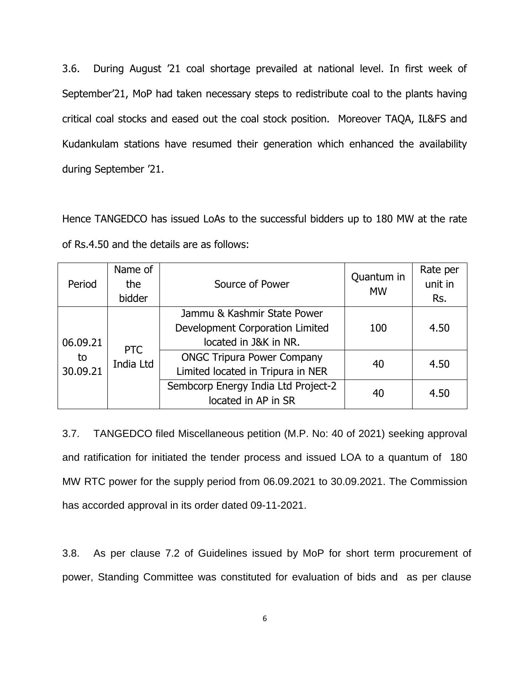3.6. During August '21 coal shortage prevailed at national level. In first week of September'21, MoP had taken necessary steps to redistribute coal to the plants having critical coal stocks and eased out the coal stock position. Moreover TAQA, IL&FS and Kudankulam stations have resumed their generation which enhanced the availability during September '21.

Hence TANGEDCO has issued LoAs to the successful bidders up to 180 MW at the rate of Rs.4.50 and the details are as follows:

| Period         | Name of<br>the<br>bidder | Source of Power                                                                         | Quantum in<br><b>MW</b> | Rate per<br>unit in<br>Rs. |
|----------------|--------------------------|-----------------------------------------------------------------------------------------|-------------------------|----------------------------|
| 06.09.21       | <b>PTC</b><br>India Ltd  | Jammu & Kashmir State Power<br>Development Corporation Limited<br>located in J&K in NR. | 100                     | 4.50                       |
| to<br>30.09.21 |                          | <b>ONGC Tripura Power Company</b><br>Limited located in Tripura in NER                  | 40                      | 4.50                       |
|                |                          | Sembcorp Energy India Ltd Project-2<br>located in AP in SR                              | 40                      | 4.50                       |

3.7. TANGEDCO filed Miscellaneous petition (M.P. No: 40 of 2021) seeking approval and ratification for initiated the tender process and issued LOA to a quantum of 180 MW RTC power for the supply period from 06.09.2021 to 30.09.2021. The Commission has accorded approval in its order dated 09-11-2021.

3.8. As per clause 7.2 of Guidelines issued by MoP for short term procurement of power, Standing Committee was constituted for evaluation of bids and as per clause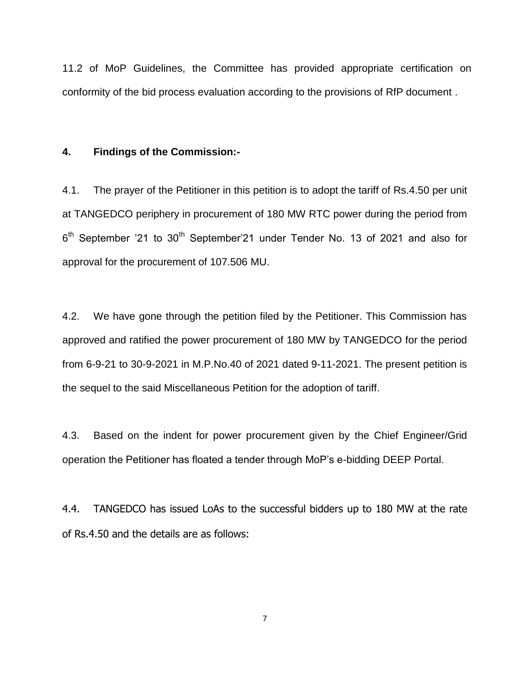11.2 of MoP Guidelines, the Committee has provided appropriate certification on conformity of the bid process evaluation according to the provisions of RfP document .

### **4. Findings of the Commission:-**

4.1. The prayer of the Petitioner in this petition is to adopt the tariff of Rs.4.50 per unit at TANGEDCO periphery in procurement of 180 MW RTC power during the period from  $6<sup>th</sup>$  September '21 to 30<sup>th</sup> September'21 under Tender No. 13 of 2021 and also for approval for the procurement of 107.506 MU.

4.2. We have gone through the petition filed by the Petitioner. This Commission has approved and ratified the power procurement of 180 MW by TANGEDCO for the period from 6-9-21 to 30-9-2021 in M.P.No.40 of 2021 dated 9-11-2021. The present petition is the sequel to the said Miscellaneous Petition for the adoption of tariff.

4.3. Based on the indent for power procurement given by the Chief Engineer/Grid operation the Petitioner has floated a tender through MoP's e-bidding DEEP Portal.

4.4. TANGEDCO has issued LoAs to the successful bidders up to 180 MW at the rate of Rs.4.50 and the details are as follows: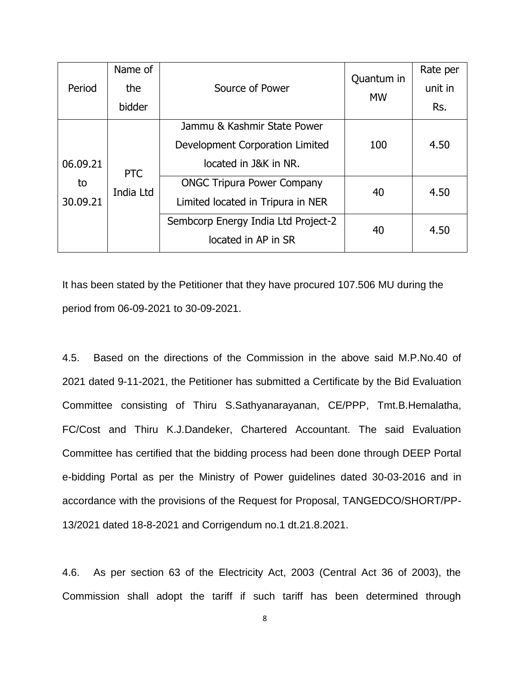| Period         | Name of<br>the<br>bidder | Source of Power                                                                         | Quantum in<br><b>MW</b> | Rate per<br>unit in<br>Rs. |
|----------------|--------------------------|-----------------------------------------------------------------------------------------|-------------------------|----------------------------|
| 06.09.21       | <b>PTC</b><br>India Ltd  | Jammu & Kashmir State Power<br>Development Corporation Limited<br>located in J&K in NR. | 100                     | 4.50                       |
| to<br>30.09.21 |                          | <b>ONGC Tripura Power Company</b><br>Limited located in Tripura in NER                  | 40                      | 4.50                       |
|                |                          | Sembcorp Energy India Ltd Project-2<br>located in AP in SR                              | 40                      | 4.50                       |

It has been stated by the Petitioner that they have procured 107.506 MU during the period from 06-09-2021 to 30-09-2021.

4.5. Based on the directions of the Commission in the above said M.P.No.40 of 2021 dated 9-11-2021, the Petitioner has submitted a Certificate by the Bid Evaluation Committee consisting of Thiru S.Sathyanarayanan, CE/PPP, Tmt.B.Hemalatha, FC/Cost and Thiru K.J.Dandeker, Chartered Accountant. The said Evaluation Committee has certified that the bidding process had been done through DEEP Portal e-bidding Portal as per the Ministry of Power guidelines dated 30-03-2016 and in accordance with the provisions of the Request for Proposal, TANGEDCO/SHORT/PP-13/2021 dated 18-8-2021 and Corrigendum no.1 dt.21.8.2021.

4.6. As per section 63 of the Electricity Act, 2003 (Central Act 36 of 2003), the Commission shall adopt the tariff if such tariff has been determined through